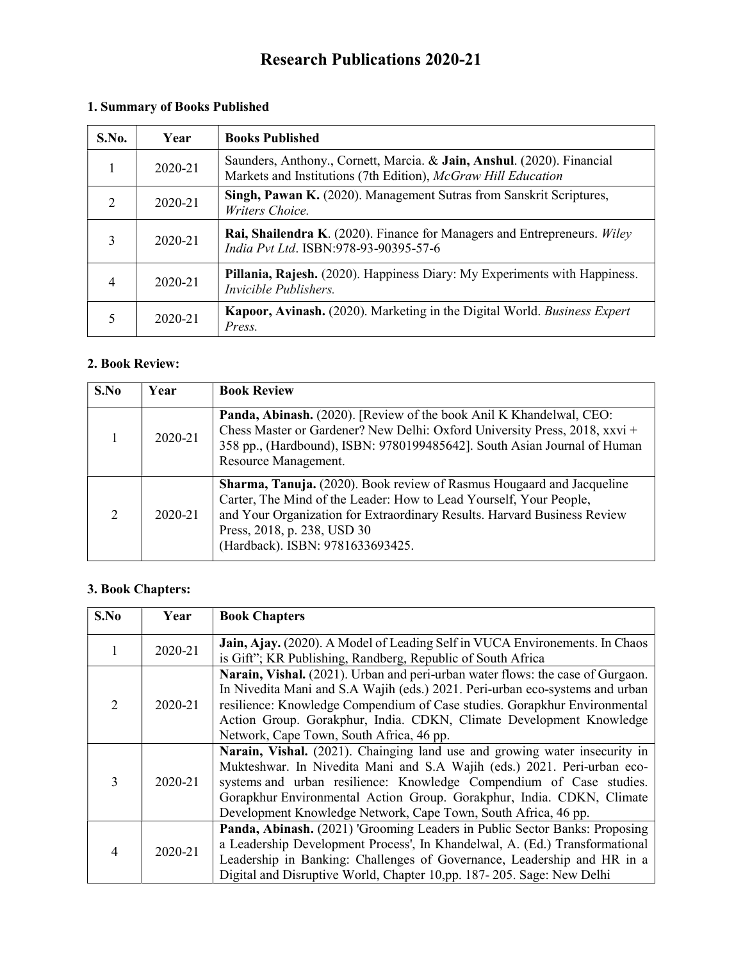# Research Publications 2020-21

| S.No. | Year    | <b>Books Published</b>                                                                                                                  |
|-------|---------|-----------------------------------------------------------------------------------------------------------------------------------------|
|       | 2020-21 | Saunders, Anthony., Cornett, Marcia. & Jain, Anshul. (2020). Financial<br>Markets and Institutions (7th Edition), McGraw Hill Education |
| 2     | 2020-21 | Singh, Pawan K. (2020). Management Sutras from Sanskrit Scriptures,<br>Writers Choice.                                                  |
| 3     | 2020-21 | Rai, Shailendra K. (2020). Finance for Managers and Entrepreneurs. Wiley<br>India Pvt Ltd. ISBN:978-93-90395-57-6                       |
| 4     | 2020-21 | Pillania, Rajesh. (2020). Happiness Diary: My Experiments with Happiness.<br>Invicible Publishers.                                      |
|       | 2020-21 | <b>Kapoor, Avinash.</b> (2020). Marketing in the Digital World. Business Expert<br>Press.                                               |

## 1. Summary of Books Published

#### 2. Book Review:

| S.No | Year    | <b>Book Review</b>                                                                                                                                                                                                                                                                                |
|------|---------|---------------------------------------------------------------------------------------------------------------------------------------------------------------------------------------------------------------------------------------------------------------------------------------------------|
|      | 2020-21 | Panda, Abinash. (2020). [Review of the book Anil K Khandelwal, CEO:<br>Chess Master or Gardener? New Delhi: Oxford University Press, 2018, xxvi +<br>358 pp., (Hardbound), ISBN: 9780199485642]. South Asian Journal of Human<br>Resource Management.                                             |
|      | 2020-21 | <b>Sharma, Tanuja.</b> (2020). Book review of Rasmus Hougaard and Jacqueline<br>Carter, The Mind of the Leader: How to Lead Yourself, Your People,<br>and Your Organization for Extraordinary Results. Harvard Business Review<br>Press, 2018, p. 238, USD 30<br>(Hardback). ISBN: 9781633693425. |

## 3. Book Chapters:

| S.No                        | Year    | <b>Book Chapters</b>                                                           |
|-----------------------------|---------|--------------------------------------------------------------------------------|
|                             | 2020-21 | Jain, Ajay. (2020). A Model of Leading Self in VUCA Environments. In Chaos     |
|                             |         | is Gift"; KR Publishing, Randberg, Republic of South Africa                    |
|                             |         | Narain, Vishal. (2021). Urban and peri-urban water flows: the case of Gurgaon. |
|                             |         | In Nivedita Mani and S.A Wajih (eds.) 2021. Peri-urban eco-systems and urban   |
| $\mathcal{D}_{\mathcal{L}}$ | 2020-21 | resilience: Knowledge Compendium of Case studies. Gorapkhur Environmental      |
|                             |         | Action Group. Gorakphur, India. CDKN, Climate Development Knowledge            |
|                             |         | Network, Cape Town, South Africa, 46 pp.                                       |
|                             | 2020-21 | Narain, Vishal. (2021). Chainging land use and growing water insecurity in     |
|                             |         | Mukteshwar. In Nivedita Mani and S.A Wajih (eds.) 2021. Peri-urban eco-        |
| 3                           |         | systems and urban resilience: Knowledge Compendium of Case studies.            |
|                             |         | Gorapkhur Environmental Action Group. Gorakphur, India. CDKN, Climate          |
|                             |         | Development Knowledge Network, Cape Town, South Africa, 46 pp.                 |
| 4                           | 2020-21 | Panda, Abinash. (2021) 'Grooming Leaders in Public Sector Banks: Proposing     |
|                             |         | a Leadership Development Process', In Khandelwal, A. (Ed.) Transformational    |
|                             |         | Leadership in Banking: Challenges of Governance, Leadership and HR in a        |
|                             |         | Digital and Disruptive World, Chapter 10,pp. 187-205. Sage: New Delhi          |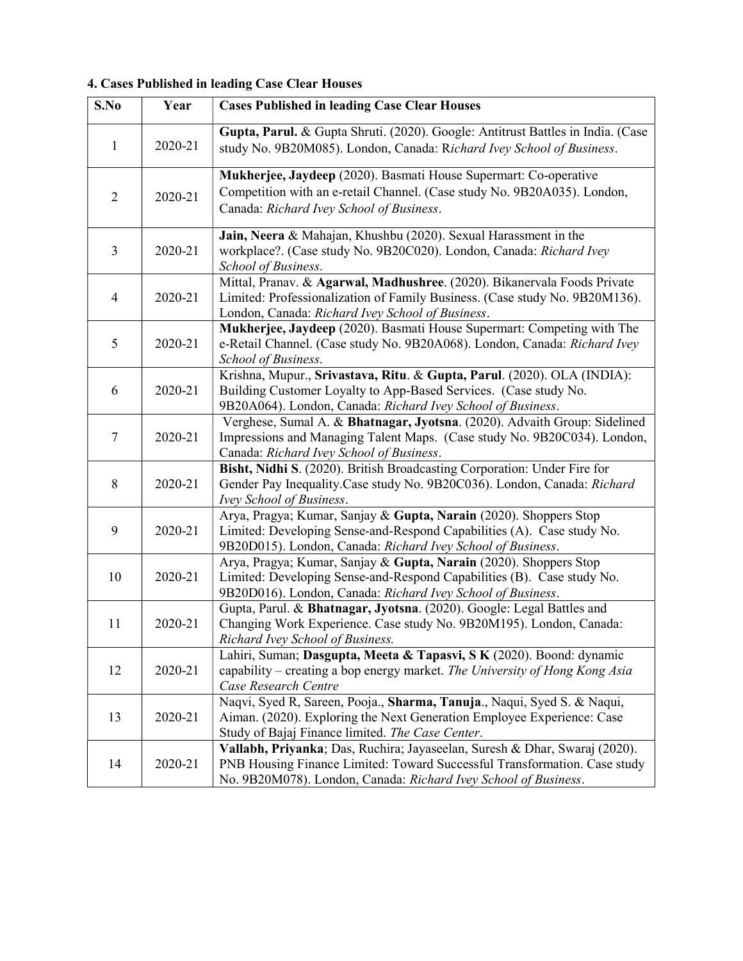## 4. Cases Published in leading Case Clear Houses

| S.No                     | Year    | <b>Cases Published in leading Case Clear Houses</b>                                                                                                                                                                        |
|--------------------------|---------|----------------------------------------------------------------------------------------------------------------------------------------------------------------------------------------------------------------------------|
| $\mathbf{1}$             | 2020-21 | Gupta, Parul. & Gupta Shruti. (2020). Google: Antitrust Battles in India. (Case<br>study No. 9B20M085). London, Canada: Richard Ivey School of Business.                                                                   |
| $\overline{2}$           | 2020-21 | Mukherjee, Jaydeep (2020). Basmati House Supermart: Co-operative<br>Competition with an e-retail Channel. (Case study No. 9B20A035). London,<br>Canada: Richard Ivey School of Business.                                   |
| $\overline{3}$           | 2020-21 | Jain, Neera & Mahajan, Khushbu (2020). Sexual Harassment in the<br>workplace?. (Case study No. 9B20C020). London, Canada: Richard Ivey<br>School of Business.                                                              |
| $\overline{\mathcal{A}}$ | 2020-21 | Mittal, Pranav. & Agarwal, Madhushree. (2020). Bikanervala Foods Private<br>Limited: Professionalization of Family Business. (Case study No. 9B20M136).<br>London, Canada: Richard Ivey School of Business.                |
| 5                        | 2020-21 | Mukherjee, Jaydeep (2020). Basmati House Supermart: Competing with The<br>e-Retail Channel. (Case study No. 9B20A068). London, Canada: Richard Ivey<br>School of Business.                                                 |
| 6                        | 2020-21 | Krishna, Mupur., Srivastava, Ritu. & Gupta, Parul. (2020). OLA (INDIA):<br>Building Customer Loyalty to App-Based Services. (Case study No.<br>9B20A064). London, Canada: Richard Ivey School of Business.                 |
| $\tau$                   | 2020-21 | Verghese, Sumal A. & Bhatnagar, Jyotsna. (2020). Advaith Group: Sidelined<br>Impressions and Managing Talent Maps. (Case study No. 9B20C034). London,<br>Canada: Richard Ivey School of Business.                          |
| 8                        | 2020-21 | Bisht, Nidhi S. (2020). British Broadcasting Corporation: Under Fire for<br>Gender Pay Inequality.Case study No. 9B20C036). London, Canada: Richard<br>Ivey School of Business.                                            |
| 9                        | 2020-21 | Arya, Pragya; Kumar, Sanjay & Gupta, Narain (2020). Shoppers Stop<br>Limited: Developing Sense-and-Respond Capabilities (A). Case study No.<br>9B20D015). London, Canada: Richard Ivey School of Business.                 |
| 10                       | 2020-21 | Arya, Pragya; Kumar, Sanjay & Gupta, Narain (2020). Shoppers Stop<br>Limited: Developing Sense-and-Respond Capabilities (B). Case study No.<br>9B20D016). London, Canada: Richard Ivey School of Business.                 |
| 11                       | 2020-21 | Gupta, Parul. & Bhatnagar, Jyotsna. (2020). Google: Legal Battles and<br>Changing Work Experience. Case study No. 9B20M195). London, Canada:<br>Richard Ivey School of Business.                                           |
| 12                       | 2020-21 | Lahiri, Suman; Dasgupta, Meeta & Tapasvi, S K (2020). Boond: dynamic<br>capability – creating a bop energy market. The University of Hong Kong Asia<br>Case Research Centre                                                |
| 13                       | 2020-21 | Naqvi, Syed R, Sareen, Pooja., Sharma, Tanuja., Naqui, Syed S. & Naqui,<br>Aiman. (2020). Exploring the Next Generation Employee Experience: Case<br>Study of Bajaj Finance limited. The Case Center.                      |
| 14                       | 2020-21 | Vallabh, Priyanka; Das, Ruchira; Jayaseelan, Suresh & Dhar, Swaraj (2020).<br>PNB Housing Finance Limited: Toward Successful Transformation. Case study<br>No. 9B20M078). London, Canada: Richard Ivey School of Business. |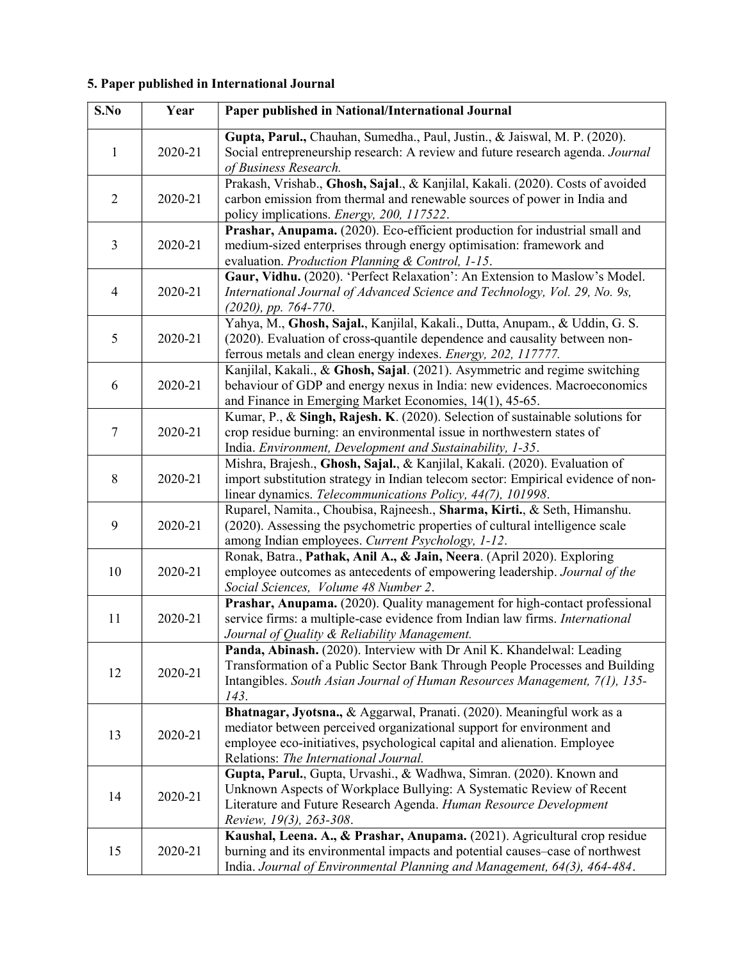## 5. Paper published in International Journal

| S.No           | Year    | Paper published in National/International Journal                                                                                                                                                                                                                    |
|----------------|---------|----------------------------------------------------------------------------------------------------------------------------------------------------------------------------------------------------------------------------------------------------------------------|
| $\mathbf{1}$   | 2020-21 | Gupta, Parul., Chauhan, Sumedha., Paul, Justin., & Jaiswal, M. P. (2020).<br>Social entrepreneurship research: A review and future research agenda. Journal<br>of Business Research.                                                                                 |
| $\overline{2}$ | 2020-21 | Prakash, Vrishab., Ghosh, Sajal., & Kanjilal, Kakali. (2020). Costs of avoided<br>carbon emission from thermal and renewable sources of power in India and<br>policy implications. Energy, 200, 117522.                                                              |
| 3              | 2020-21 | Prashar, Anupama. (2020). Eco-efficient production for industrial small and<br>medium-sized enterprises through energy optimisation: framework and<br>evaluation. Production Planning & Control, 1-15.                                                               |
| $\overline{4}$ | 2020-21 | Gaur, Vidhu. (2020). 'Perfect Relaxation': An Extension to Maslow's Model.<br>International Journal of Advanced Science and Technology, Vol. 29, No. 9s,<br>$(2020)$ , pp. 764-770.                                                                                  |
| 5              | 2020-21 | Yahya, M., Ghosh, Sajal., Kanjilal, Kakali., Dutta, Anupam., & Uddin, G. S.<br>(2020). Evaluation of cross-quantile dependence and causality between non-<br>ferrous metals and clean energy indexes. Energy, 202, 117777.                                           |
| 6              | 2020-21 | Kanjilal, Kakali., & Ghosh, Sajal. (2021). Asymmetric and regime switching<br>behaviour of GDP and energy nexus in India: new evidences. Macroeconomics<br>and Finance in Emerging Market Economies, 14(1), 45-65.                                                   |
| $\overline{7}$ | 2020-21 | Kumar, P., & Singh, Rajesh. K. (2020). Selection of sustainable solutions for<br>crop residue burning: an environmental issue in northwestern states of<br>India. Environment, Development and Sustainability, 1-35.                                                 |
| 8              | 2020-21 | Mishra, Brajesh., Ghosh, Sajal., & Kanjilal, Kakali. (2020). Evaluation of<br>import substitution strategy in Indian telecom sector: Empirical evidence of non-<br>linear dynamics. Telecommunications Policy, 44(7), 101998.                                        |
| 9              | 2020-21 | Ruparel, Namita., Choubisa, Rajneesh., Sharma, Kirti., & Seth, Himanshu.<br>(2020). Assessing the psychometric properties of cultural intelligence scale<br>among Indian employees. Current Psychology, 1-12.                                                        |
| 10             | 2020-21 | Ronak, Batra., Pathak, Anil A., & Jain, Neera. (April 2020). Exploring<br>employee outcomes as antecedents of empowering leadership. Journal of the<br>Social Sciences, Volume 48 Number 2.                                                                          |
| 11             | 2020-21 | Prashar, Anupama. (2020). Quality management for high-contact professional<br>service firms: a multiple-case evidence from Indian law firms. International<br>Journal of Quality & Reliability Management.                                                           |
| 12             | 2020-21 | Panda, Abinash. (2020). Interview with Dr Anil K. Khandelwal: Leading<br>Transformation of a Public Sector Bank Through People Processes and Building<br>Intangibles. South Asian Journal of Human Resources Management, 7(1), 135-<br>143.                          |
| 13             | 2020-21 | Bhatnagar, Jyotsna., & Aggarwal, Pranati. (2020). Meaningful work as a<br>mediator between perceived organizational support for environment and<br>employee eco-initiatives, psychological capital and alienation. Employee<br>Relations: The International Journal. |
| 14             | 2020-21 | Gupta, Parul., Gupta, Urvashi., & Wadhwa, Simran. (2020). Known and<br>Unknown Aspects of Workplace Bullying: A Systematic Review of Recent<br>Literature and Future Research Agenda. Human Resource Development<br>Review, 19(3), 263-308.                          |
| 15             | 2020-21 | Kaushal, Leena. A., & Prashar, Anupama. (2021). Agricultural crop residue<br>burning and its environmental impacts and potential causes-case of northwest<br>India. Journal of Environmental Planning and Management, 64(3), 464-484.                                |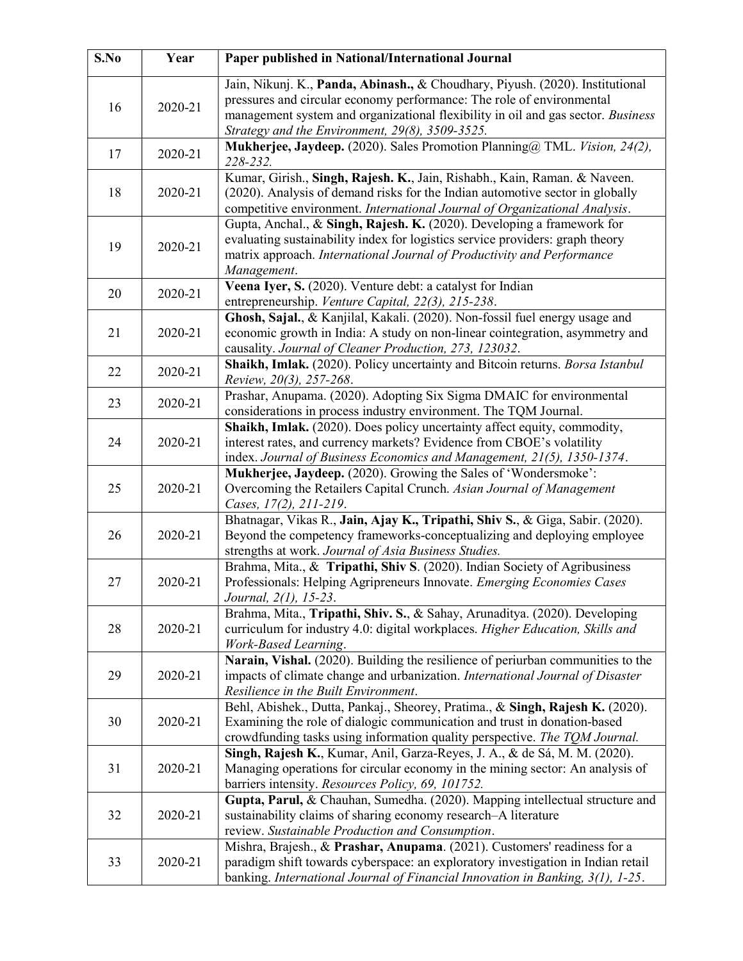| S.No | Year    | Paper published in National/International Journal                                                                                                                                                                                                                                             |
|------|---------|-----------------------------------------------------------------------------------------------------------------------------------------------------------------------------------------------------------------------------------------------------------------------------------------------|
| 16   | 2020-21 | Jain, Nikunj. K., Panda, Abinash., & Choudhary, Piyush. (2020). Institutional<br>pressures and circular economy performance: The role of environmental<br>management system and organizational flexibility in oil and gas sector. Business<br>Strategy and the Environment, 29(8), 3509-3525. |
| 17   | 2020-21 | Mukherjee, Jaydeep. (2020). Sales Promotion Planning@ TML. Vision, 24(2),<br>228-232.                                                                                                                                                                                                         |
| 18   | 2020-21 | Kumar, Girish., Singh, Rajesh. K., Jain, Rishabh., Kain, Raman. & Naveen.<br>(2020). Analysis of demand risks for the Indian automotive sector in globally<br>competitive environment. International Journal of Organizational Analysis.                                                      |
| 19   | 2020-21 | Gupta, Anchal., & Singh, Rajesh. K. (2020). Developing a framework for<br>evaluating sustainability index for logistics service providers: graph theory<br>matrix approach. International Journal of Productivity and Performance<br>Management.                                              |
| 20   | 2020-21 | Veena Iyer, S. (2020). Venture debt: a catalyst for Indian<br>entrepreneurship. Venture Capital, 22(3), 215-238.                                                                                                                                                                              |
| 21   | 2020-21 | Ghosh, Sajal., & Kanjilal, Kakali. (2020). Non-fossil fuel energy usage and<br>economic growth in India: A study on non-linear cointegration, asymmetry and<br>causality. Journal of Cleaner Production, 273, 123032.                                                                         |
| 22   | 2020-21 | Shaikh, Imlak. (2020). Policy uncertainty and Bitcoin returns. Borsa Istanbul<br>Review, 20(3), 257-268.                                                                                                                                                                                      |
| 23   | 2020-21 | Prashar, Anupama. (2020). Adopting Six Sigma DMAIC for environmental<br>considerations in process industry environment. The TQM Journal.                                                                                                                                                      |
| 24   | 2020-21 | Shaikh, Imlak. (2020). Does policy uncertainty affect equity, commodity,<br>interest rates, and currency markets? Evidence from CBOE's volatility<br>index. Journal of Business Economics and Management, 21(5), 1350-1374.                                                                   |
| 25   | 2020-21 | Mukherjee, Jaydeep. (2020). Growing the Sales of 'Wondersmoke':<br>Overcoming the Retailers Capital Crunch. Asian Journal of Management<br>Cases, 17(2), 211-219.                                                                                                                             |
| 26   | 2020-21 | Bhatnagar, Vikas R., Jain, Ajay K., Tripathi, Shiv S., & Giga, Sabir. (2020).<br>Beyond the competency frameworks-conceptualizing and deploying employee<br>strengths at work. Journal of Asia Business Studies.                                                                              |
| 27   | 2020-21 | Brahma, Mita., & Tripathi, Shiv S. (2020). Indian Society of Agribusiness<br>Professionals: Helping Agripreneurs Innovate. Emerging Economies Cases<br>Journal, 2(1), 15-23.                                                                                                                  |
| 28   | 2020-21 | Brahma, Mita., Tripathi, Shiv. S., & Sahay, Arunaditya. (2020). Developing<br>curriculum for industry 4.0: digital workplaces. Higher Education, Skills and<br>Work-Based Learning.                                                                                                           |
| 29   | 2020-21 | Narain, Vishal. (2020). Building the resilience of periurban communities to the<br>impacts of climate change and urbanization. International Journal of Disaster<br>Resilience in the Built Environment.                                                                                      |
| 30   | 2020-21 | Behl, Abishek., Dutta, Pankaj., Sheorey, Pratima., & Singh, Rajesh K. (2020).<br>Examining the role of dialogic communication and trust in donation-based<br>crowdfunding tasks using information quality perspective. The TQM Journal.                                                       |
| 31   | 2020-21 | Singh, Rajesh K., Kumar, Anil, Garza-Reyes, J. A., & de Sá, M. M. (2020).<br>Managing operations for circular economy in the mining sector: An analysis of<br>barriers intensity. Resources Policy, 69, 101752.                                                                               |
| 32   | 2020-21 | Gupta, Parul, & Chauhan, Sumedha. (2020). Mapping intellectual structure and<br>sustainability claims of sharing economy research-A literature<br>review. Sustainable Production and Consumption.                                                                                             |
| 33   | 2020-21 | Mishra, Brajesh., & Prashar, Anupama. (2021). Customers' readiness for a<br>paradigm shift towards cyberspace: an exploratory investigation in Indian retail<br>banking. International Journal of Financial Innovation in Banking, 3(1), 1-25.                                                |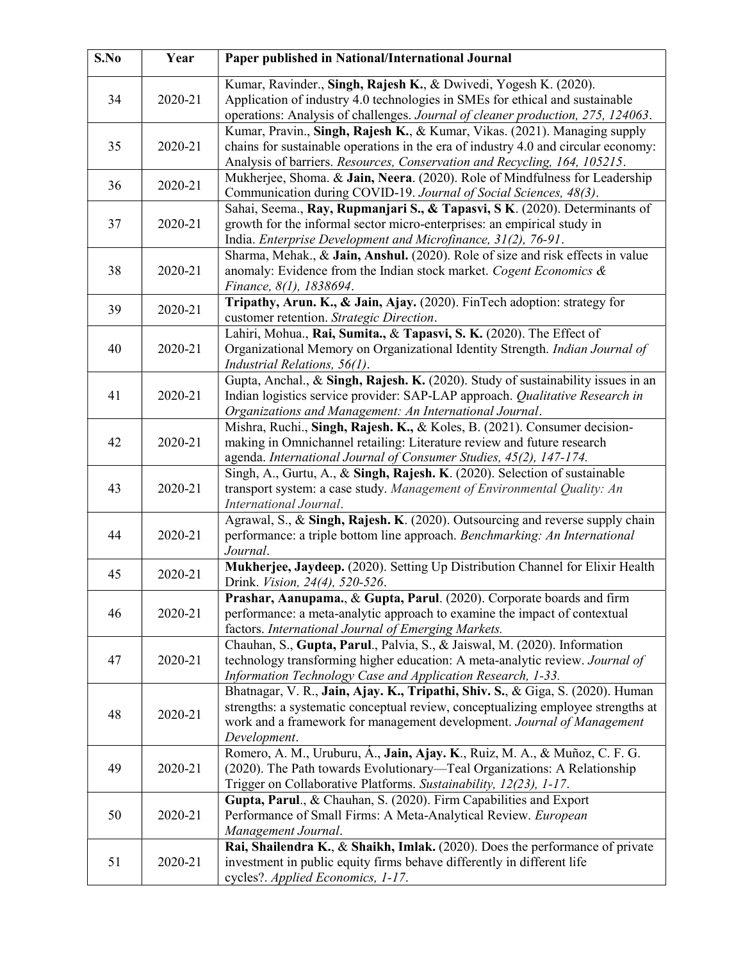| S.No | Year    | Paper published in National/International Journal                                                                                                                                                                                                            |
|------|---------|--------------------------------------------------------------------------------------------------------------------------------------------------------------------------------------------------------------------------------------------------------------|
| 34   | 2020-21 | Kumar, Ravinder., Singh, Rajesh K., & Dwivedi, Yogesh K. (2020).<br>Application of industry 4.0 technologies in SMEs for ethical and sustainable<br>operations: Analysis of challenges. Journal of cleaner production, 275, 124063.                          |
| 35   | 2020-21 | Kumar, Pravin., Singh, Rajesh K., & Kumar, Vikas. (2021). Managing supply<br>chains for sustainable operations in the era of industry 4.0 and circular economy:<br>Analysis of barriers. Resources, Conservation and Recycling, 164, 105215.                 |
| 36   | 2020-21 | Mukherjee, Shoma. & Jain, Neera. (2020). Role of Mindfulness for Leadership<br>Communication during COVID-19. Journal of Social Sciences, 48(3).                                                                                                             |
| 37   | 2020-21 | Sahai, Seema., Ray, Rupmanjari S., & Tapasvi, S K. (2020). Determinants of<br>growth for the informal sector micro-enterprises: an empirical study in<br>India. Enterprise Development and Microfinance, 31(2), 76-91.                                       |
| 38   | 2020-21 | Sharma, Mehak., & Jain, Anshul. (2020). Role of size and risk effects in value<br>anomaly: Evidence from the Indian stock market. Cogent Economics &<br>Finance, 8(1), 1838694.                                                                              |
| 39   | 2020-21 | Tripathy, Arun. K., & Jain, Ajay. (2020). FinTech adoption: strategy for<br>customer retention. Strategic Direction.                                                                                                                                         |
| 40   | 2020-21 | Lahiri, Mohua., Rai, Sumita., & Tapasvi, S. K. (2020). The Effect of<br>Organizational Memory on Organizational Identity Strength. Indian Journal of<br>Industrial Relations, 56(1).                                                                         |
| 41   | 2020-21 | Gupta, Anchal., & Singh, Rajesh. K. (2020). Study of sustainability issues in an<br>Indian logistics service provider: SAP-LAP approach. Qualitative Research in<br>Organizations and Management: An International Journal.                                  |
| 42   | 2020-21 | Mishra, Ruchi., Singh, Rajesh. K., & Koles, B. (2021). Consumer decision-<br>making in Omnichannel retailing: Literature review and future research<br>agenda. International Journal of Consumer Studies, 45(2), 147-174.                                    |
| 43   | 2020-21 | Singh, A., Gurtu, A., & Singh, Rajesh. K. (2020). Selection of sustainable<br>transport system: a case study. Management of Environmental Quality: An<br>International Journal.                                                                              |
| 44   | 2020-21 | Agrawal, S., & Singh, Rajesh. K. (2020). Outsourcing and reverse supply chain<br>performance: a triple bottom line approach. Benchmarking: An International<br>Journal.                                                                                      |
| 45   | 2020-21 | Mukherjee, Jaydeep. (2020). Setting Up Distribution Channel for Elixir Health<br>Drink. <i>Vision</i> , 24(4), 520-526.                                                                                                                                      |
| 46   | 2020-21 | Prashar, Aanupama., & Gupta, Parul. (2020). Corporate boards and firm<br>performance: a meta-analytic approach to examine the impact of contextual<br>factors. International Journal of Emerging Markets.                                                    |
| 47   | 2020-21 | Chauhan, S., Gupta, Parul., Palvia, S., & Jaiswal, M. (2020). Information<br>technology transforming higher education: A meta-analytic review. Journal of<br>Information Technology Case and Application Research, 1-33.                                     |
| 48   | 2020-21 | Bhatnagar, V. R., Jain, Ajay. K., Tripathi, Shiv. S., & Giga, S. (2020). Human<br>strengths: a systematic conceptual review, conceptualizing employee strengths at<br>work and a framework for management development. Journal of Management<br>Development. |
| 49   | 2020-21 | Romero, A. M., Uruburu, Á., Jain, Ajay. K., Ruiz, M. A., & Muñoz, C. F. G.<br>(2020). The Path towards Evolutionary—Teal Organizations: A Relationship<br>Trigger on Collaborative Platforms. Sustainability, 12(23), 1-17.                                  |
| 50   | 2020-21 | Gupta, Parul., & Chauhan, S. (2020). Firm Capabilities and Export<br>Performance of Small Firms: A Meta-Analytical Review. European<br>Management Journal.                                                                                                   |
| 51   | 2020-21 | Rai, Shailendra K., & Shaikh, Imlak. (2020). Does the performance of private<br>investment in public equity firms behave differently in different life<br>cycles?. Applied Economics, 1-17.                                                                  |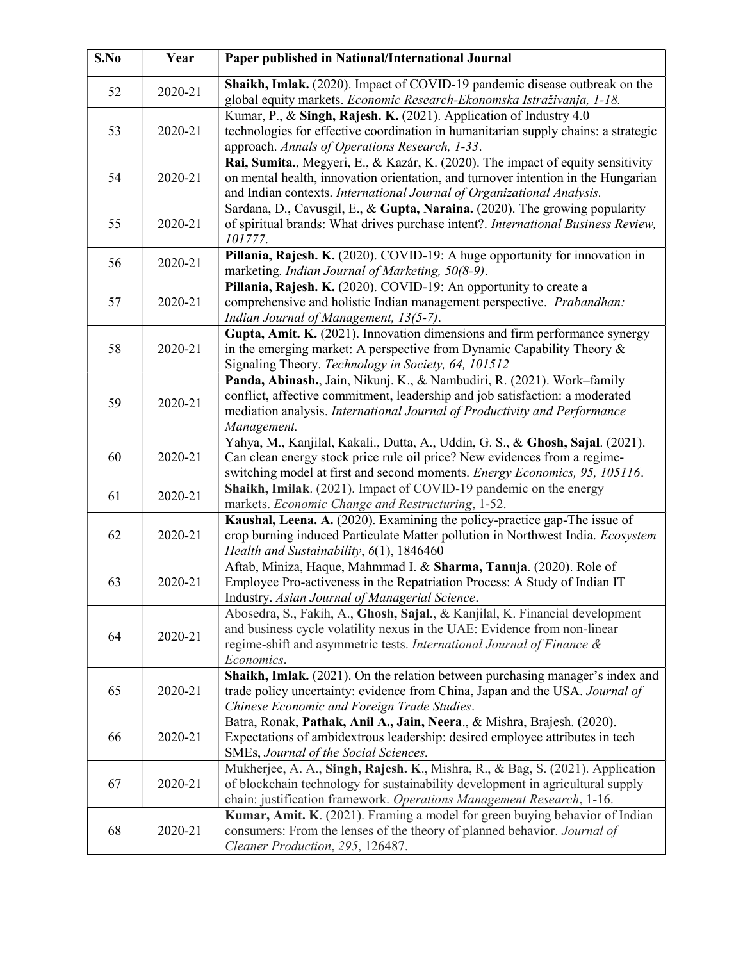| S.No | Year    | Paper published in National/International Journal                                                                                                                                                                                                  |
|------|---------|----------------------------------------------------------------------------------------------------------------------------------------------------------------------------------------------------------------------------------------------------|
| 52   | 2020-21 | Shaikh, Imlak. (2020). Impact of COVID-19 pandemic disease outbreak on the<br>global equity markets. Economic Research-Ekonomska Istraživanja, 1-18.                                                                                               |
| 53   | 2020-21 | Kumar, P., & Singh, Rajesh. K. (2021). Application of Industry 4.0<br>technologies for effective coordination in humanitarian supply chains: a strategic<br>approach. Annals of Operations Research, 1-33.                                         |
| 54   | 2020-21 | Rai, Sumita., Megyeri, E., & Kazár, K. (2020). The impact of equity sensitivity<br>on mental health, innovation orientation, and turnover intention in the Hungarian<br>and Indian contexts. International Journal of Organizational Analysis.     |
| 55   | 2020-21 | Sardana, D., Cavusgil, E., & Gupta, Naraina. (2020). The growing popularity<br>of spiritual brands: What drives purchase intent?. International Business Review,<br>101777.                                                                        |
| 56   | 2020-21 | Pillania, Rajesh. K. (2020). COVID-19: A huge opportunity for innovation in<br>marketing. Indian Journal of Marketing, 50(8-9).                                                                                                                    |
| 57   | 2020-21 | Pillania, Rajesh. K. (2020). COVID-19: An opportunity to create a<br>comprehensive and holistic Indian management perspective. Prabandhan:<br>Indian Journal of Management, 13(5-7).                                                               |
| 58   | 2020-21 | Gupta, Amit. K. (2021). Innovation dimensions and firm performance synergy<br>in the emerging market: A perspective from Dynamic Capability Theory $\&$<br>Signaling Theory. Technology in Society, 64, 101512                                     |
| 59   | 2020-21 | Panda, Abinash., Jain, Nikunj. K., & Nambudiri, R. (2021). Work-family<br>conflict, affective commitment, leadership and job satisfaction: a moderated<br>mediation analysis. International Journal of Productivity and Performance<br>Management. |
| 60   | 2020-21 | Yahya, M., Kanjilal, Kakali., Dutta, A., Uddin, G. S., & Ghosh, Sajal. (2021).<br>Can clean energy stock price rule oil price? New evidences from a regime-<br>switching model at first and second moments. Energy Economics, 95, 105116.          |
| 61   | 2020-21 | Shaikh, Imilak. (2021). Impact of COVID-19 pandemic on the energy<br>markets. Economic Change and Restructuring, 1-52.                                                                                                                             |
| 62   | 2020-21 | Kaushal, Leena. A. (2020). Examining the policy-practice gap-The issue of<br>crop burning induced Particulate Matter pollution in Northwest India. Ecosystem<br>Health and Sustainability, $6(1)$ , 1846460                                        |
| 63   | 2020-21 | Aftab, Miniza, Haque, Mahmmad I. & Sharma, Tanuja. (2020). Role of<br>Employee Pro-activeness in the Repatriation Process: A Study of Indian IT<br>Industry. Asian Journal of Managerial Science.                                                  |
| 64   | 2020-21 | Abosedra, S., Fakih, A., Ghosh, Sajal., & Kanjilal, K. Financial development<br>and business cycle volatility nexus in the UAE: Evidence from non-linear<br>regime-shift and asymmetric tests. International Journal of Finance &<br>Economics.    |
| 65   | 2020-21 | Shaikh, Imlak. (2021). On the relation between purchasing manager's index and<br>trade policy uncertainty: evidence from China, Japan and the USA. Journal of<br>Chinese Economic and Foreign Trade Studies.                                       |
| 66   | 2020-21 | Batra, Ronak, Pathak, Anil A., Jain, Neera., & Mishra, Brajesh. (2020).<br>Expectations of ambidextrous leadership: desired employee attributes in tech<br>SMEs, Journal of the Social Sciences.                                                   |
| 67   | 2020-21 | Mukherjee, A. A., Singh, Rajesh. K., Mishra, R., & Bag, S. (2021). Application<br>of blockchain technology for sustainability development in agricultural supply<br>chain: justification framework. Operations Management Research, 1-16.          |
| 68   | 2020-21 | Kumar, Amit. K. (2021). Framing a model for green buying behavior of Indian<br>consumers: From the lenses of the theory of planned behavior. Journal of<br>Cleaner Production, 295, 126487.                                                        |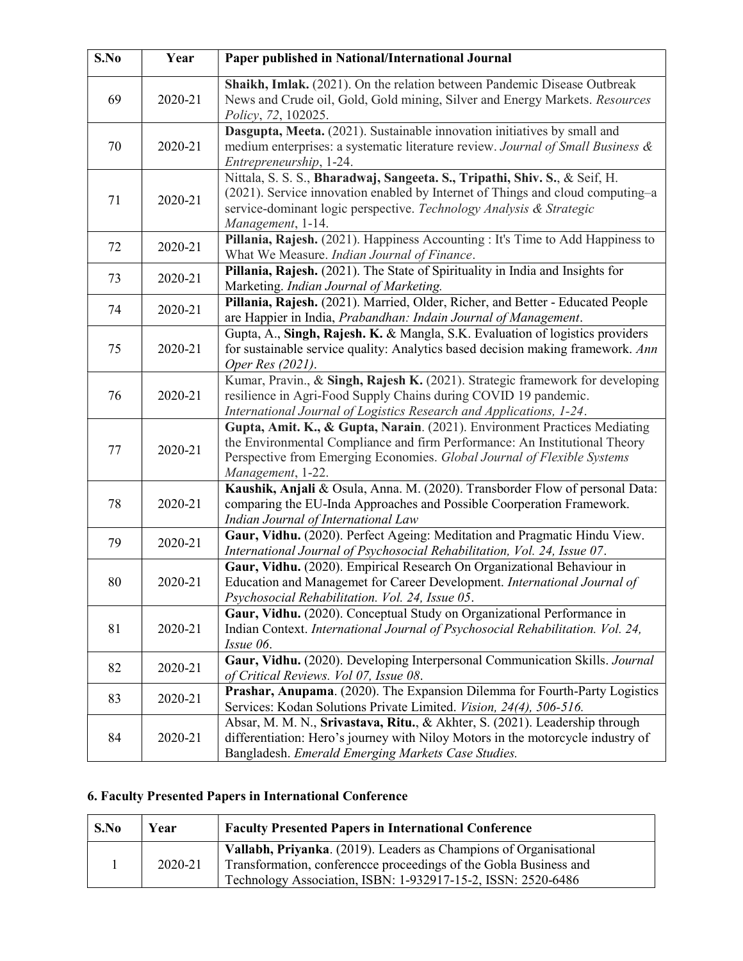| S.No | Year    | Paper published in National/International Journal                                                                                                                                                                                                        |
|------|---------|----------------------------------------------------------------------------------------------------------------------------------------------------------------------------------------------------------------------------------------------------------|
| 69   | 2020-21 | Shaikh, Imlak. (2021). On the relation between Pandemic Disease Outbreak<br>News and Crude oil, Gold, Gold mining, Silver and Energy Markets. Resources<br>Policy, 72, 102025.                                                                           |
| 70   | 2020-21 | Dasgupta, Meeta. (2021). Sustainable innovation initiatives by small and<br>medium enterprises: a systematic literature review. Journal of Small Business &<br>Entrepreneurship, 1-24.                                                                   |
| 71   | 2020-21 | Nittala, S. S. S., Bharadwaj, Sangeeta. S., Tripathi, Shiv. S., & Seif, H.<br>(2021). Service innovation enabled by Internet of Things and cloud computing–a<br>service-dominant logic perspective. Technology Analysis & Strategic<br>Management, 1-14. |
| 72   | 2020-21 | Pillania, Rajesh. (2021). Happiness Accounting : It's Time to Add Happiness to<br>What We Measure. Indian Journal of Finance.                                                                                                                            |
| 73   | 2020-21 | Pillania, Rajesh. (2021). The State of Spirituality in India and Insights for<br>Marketing. Indian Journal of Marketing.                                                                                                                                 |
| 74   | 2020-21 | Pillania, Rajesh. (2021). Married, Older, Richer, and Better - Educated People<br>are Happier in India, Prabandhan: Indain Journal of Management.                                                                                                        |
| 75   | 2020-21 | Gupta, A., Singh, Rajesh. K. & Mangla, S.K. Evaluation of logistics providers<br>for sustainable service quality: Analytics based decision making framework. Ann<br>Oper Res (2021).                                                                     |
| 76   | 2020-21 | Kumar, Pravin., & Singh, Rajesh K. (2021). Strategic framework for developing<br>resilience in Agri-Food Supply Chains during COVID 19 pandemic.<br>International Journal of Logistics Research and Applications, 1-24.                                  |
| 77   | 2020-21 | Gupta, Amit. K., & Gupta, Narain. (2021). Environment Practices Mediating<br>the Environmental Compliance and firm Performance: An Institutional Theory<br>Perspective from Emerging Economies. Global Journal of Flexible Systems<br>Management, 1-22.  |
| 78   | 2020-21 | Kaushik, Anjali & Osula, Anna. M. (2020). Transborder Flow of personal Data:<br>comparing the EU-Inda Approaches and Possible Coorperation Framework.<br>Indian Journal of International Law                                                             |
| 79   | 2020-21 | Gaur, Vidhu. (2020). Perfect Ageing: Meditation and Pragmatic Hindu View.<br>International Journal of Psychosocial Rehabilitation, Vol. 24, Issue 07.                                                                                                    |
| 80   | 2020-21 | Gaur, Vidhu. (2020). Empirical Research On Organizational Behaviour in<br>Education and Managemet for Career Development. International Journal of<br>Psychosocial Rehabilitation. Vol. 24, Issue 05.                                                    |
| 81   | 2020-21 | Gaur, Vidhu. (2020). Conceptual Study on Organizational Performance in<br>Indian Context. International Journal of Psychosocial Rehabilitation. Vol. 24,<br>Issue 06.                                                                                    |
| 82   | 2020-21 | Gaur, Vidhu. (2020). Developing Interpersonal Communication Skills. Journal<br>of Critical Reviews. Vol 07, Issue 08.                                                                                                                                    |
| 83   | 2020-21 | Prashar, Anupama. (2020). The Expansion Dilemma for Fourth-Party Logistics<br>Services: Kodan Solutions Private Limited. Vision, 24(4), 506-516.                                                                                                         |
| 84   | 2020-21 | Absar, M. M. N., Srivastava, Ritu., & Akhter, S. (2021). Leadership through<br>differentiation: Hero's journey with Niloy Motors in the motorcycle industry of<br>Bangladesh. Emerald Emerging Markets Case Studies.                                     |

## 6. Faculty Presented Papers in International Conference

| S.No | Year    | <b>Faculty Presented Papers in International Conference</b>                                                                                                                                           |
|------|---------|-------------------------------------------------------------------------------------------------------------------------------------------------------------------------------------------------------|
|      | 2020-21 | Vallabh, Priyanka. (2019). Leaders as Champions of Organisational<br>Transformation, conference proceedings of the Gobla Business and<br>Technology Association, ISBN: 1-932917-15-2, ISSN: 2520-6486 |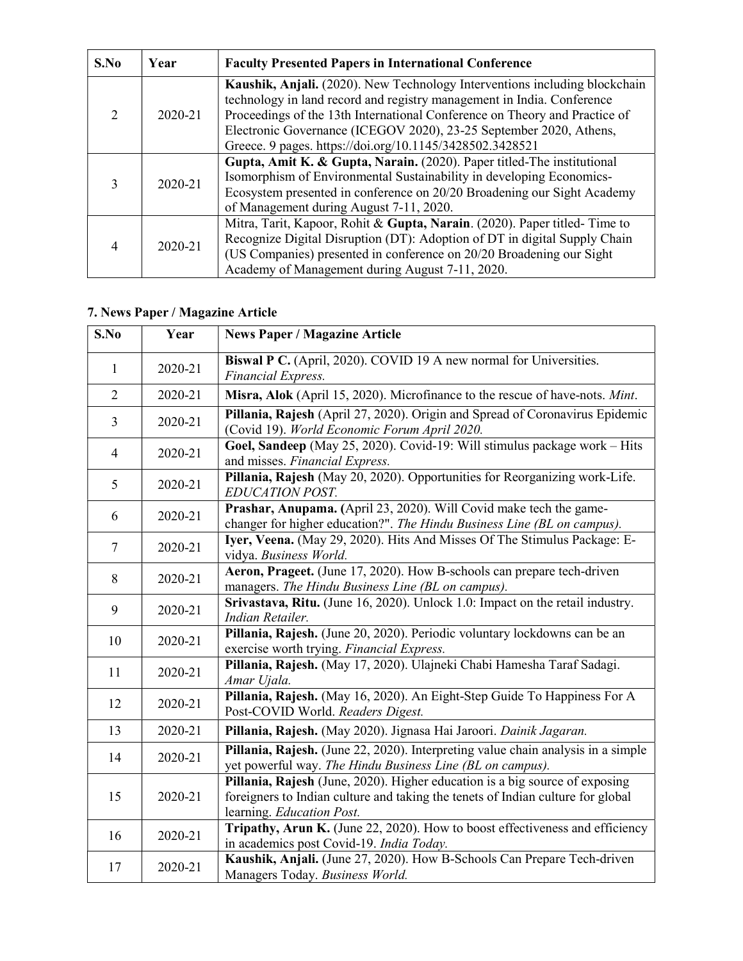| S.No | Year    | <b>Faculty Presented Papers in International Conference</b>                                                                                                                                                                                                                                                                                                          |
|------|---------|----------------------------------------------------------------------------------------------------------------------------------------------------------------------------------------------------------------------------------------------------------------------------------------------------------------------------------------------------------------------|
|      | 2020-21 | Kaushik, Anjali. (2020). New Technology Interventions including blockchain<br>technology in land record and registry management in India. Conference<br>Proceedings of the 13th International Conference on Theory and Practice of<br>Electronic Governance (ICEGOV 2020), 23-25 September 2020, Athens,<br>Greece. 9 pages. https://doi.org/10.1145/3428502.3428521 |
| 3    | 2020-21 | Gupta, Amit K. & Gupta, Narain. (2020). Paper titled-The institutional<br>Isomorphism of Environmental Sustainability in developing Economics-<br>Ecosystem presented in conference on 20/20 Broadening our Sight Academy<br>of Management during August 7-11, 2020.                                                                                                 |
|      | 2020-21 | Mitra, Tarit, Kapoor, Rohit & Gupta, Narain. (2020). Paper titled-Time to<br>Recognize Digital Disruption (DT): Adoption of DT in digital Supply Chain<br>(US Companies) presented in conference on 20/20 Broadening our Sight<br>Academy of Management during August 7-11, 2020.                                                                                    |

#### 7. News Paper / Magazine Article

| S.No           | Year    | <b>News Paper / Magazine Article</b>                                                                                                                                                        |
|----------------|---------|---------------------------------------------------------------------------------------------------------------------------------------------------------------------------------------------|
| $\mathbf{1}$   | 2020-21 | Biswal P C. (April, 2020). COVID 19 A new normal for Universities.<br>Financial Express.                                                                                                    |
| $\overline{2}$ | 2020-21 | Misra, Alok (April 15, 2020). Microfinance to the rescue of have-nots. Mint.                                                                                                                |
| $\overline{3}$ | 2020-21 | Pillania, Rajesh (April 27, 2020). Origin and Spread of Coronavirus Epidemic<br>(Covid 19). World Economic Forum April 2020.                                                                |
| $\overline{4}$ | 2020-21 | Goel, Sandeep (May 25, 2020). Covid-19: Will stimulus package work - Hits<br>and misses. Financial Express.                                                                                 |
| 5              | 2020-21 | Pillania, Rajesh (May 20, 2020). Opportunities for Reorganizing work-Life.<br>EDUCATION POST.                                                                                               |
| 6              | 2020-21 | Prashar, Anupama. (April 23, 2020). Will Covid make tech the game-<br>changer for higher education?". The Hindu Business Line (BL on campus).                                               |
| $\tau$         | 2020-21 | Iyer, Veena. (May 29, 2020). Hits And Misses Of The Stimulus Package: E-<br>vidya. Business World.                                                                                          |
| 8              | 2020-21 | Aeron, Prageet. (June 17, 2020). How B-schools can prepare tech-driven<br>managers. The Hindu Business Line (BL on campus).                                                                 |
| 9              | 2020-21 | Srivastava, Ritu. (June 16, 2020). Unlock 1.0: Impact on the retail industry.<br>Indian Retailer.                                                                                           |
| 10             | 2020-21 | Pillania, Rajesh. (June 20, 2020). Periodic voluntary lockdowns can be an<br>exercise worth trying. Financial Express.                                                                      |
| 11             | 2020-21 | Pillania, Rajesh. (May 17, 2020). Ulajneki Chabi Hamesha Taraf Sadagi.<br>Amar Ujala.                                                                                                       |
| 12             | 2020-21 | Pillania, Rajesh. (May 16, 2020). An Eight-Step Guide To Happiness For A<br>Post-COVID World. Readers Digest.                                                                               |
| 13             | 2020-21 | Pillania, Rajesh. (May 2020). Jignasa Hai Jaroori. Dainik Jagaran.                                                                                                                          |
| 14             | 2020-21 | Pillania, Rajesh. (June 22, 2020). Interpreting value chain analysis in a simple<br>yet powerful way. The Hindu Business Line (BL on campus).                                               |
| 15             | 2020-21 | Pillania, Rajesh (June, 2020). Higher education is a big source of exposing<br>foreigners to Indian culture and taking the tenets of Indian culture for global<br>learning. Education Post. |
| 16             | 2020-21 | Tripathy, Arun K. (June 22, 2020). How to boost effectiveness and efficiency<br>in academics post Covid-19. India Today.                                                                    |
| 17             | 2020-21 | Kaushik, Anjali. (June 27, 2020). How B-Schools Can Prepare Tech-driven<br>Managers Today. Business World.                                                                                  |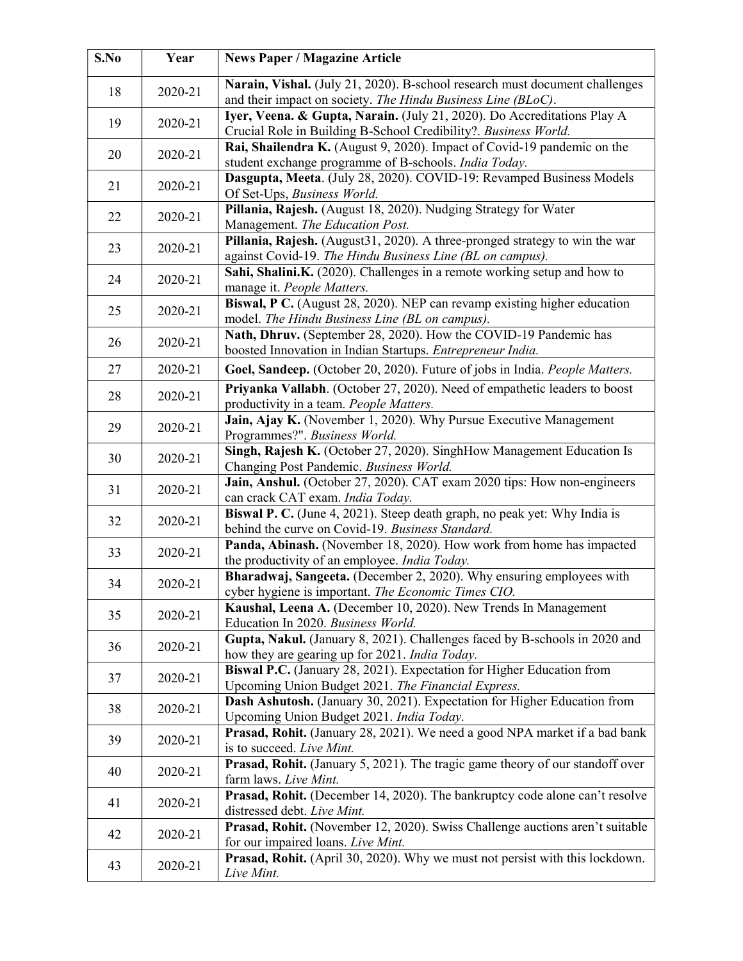| S.No     | Year               | <b>News Paper / Magazine Article</b>                                                                                                    |
|----------|--------------------|-----------------------------------------------------------------------------------------------------------------------------------------|
| 18       | 2020-21            | Narain, Vishal. (July 21, 2020). B-school research must document challenges                                                             |
|          |                    | and their impact on society. The Hindu Business Line (BLoC).<br>Iyer, Veena. & Gupta, Narain. (July 21, 2020). Do Accreditations Play A |
| 19       | 2020-21            | Crucial Role in Building B-School Credibility?. Business World.                                                                         |
| 20       | 2020-21            | Rai, Shailendra K. (August 9, 2020). Impact of Covid-19 pandemic on the                                                                 |
|          |                    | student exchange programme of B-schools. India Today.                                                                                   |
|          |                    | Dasgupta, Meeta. (July 28, 2020). COVID-19: Revamped Business Models                                                                    |
| 21       | 2020-21            | Of Set-Ups, Business World.                                                                                                             |
| 22<br>23 | 2020-21<br>2020-21 | Pillania, Rajesh. (August 18, 2020). Nudging Strategy for Water                                                                         |
|          |                    | Management. The Education Post.                                                                                                         |
|          |                    | Pillania, Rajesh. (August31, 2020). A three-pronged strategy to win the war                                                             |
|          |                    | against Covid-19. The Hindu Business Line (BL on campus).                                                                               |
| 24       | 2020-21            | Sahi, Shalini.K. (2020). Challenges in a remote working setup and how to                                                                |
|          |                    | manage it. People Matters.<br>Biswal, P C. (August 28, 2020). NEP can revamp existing higher education                                  |
| 25       | 2020-21            | model. The Hindu Business Line (BL on campus).                                                                                          |
|          | 2020-21            | Nath, Dhruv. (September 28, 2020). How the COVID-19 Pandemic has                                                                        |
| 26       |                    | boosted Innovation in Indian Startups. Entrepreneur India.                                                                              |
| 27       | 2020-21            | Goel, Sandeep. (October 20, 2020). Future of jobs in India. People Matters.                                                             |
|          |                    | Priyanka Vallabh. (October 27, 2020). Need of empathetic leaders to boost                                                               |
| 28       | 2020-21            | productivity in a team. People Matters.                                                                                                 |
|          | 2020-21            | Jain, Ajay K. (November 1, 2020). Why Pursue Executive Management                                                                       |
| 29       |                    | Programmes?". Business World.                                                                                                           |
|          | 2020-21            | Singh, Rajesh K. (October 27, 2020). SinghHow Management Education Is                                                                   |
| 30       |                    | Changing Post Pandemic. Business World.                                                                                                 |
| 31       | 2020-21            | Jain, Anshul. (October 27, 2020). CAT exam 2020 tips: How non-engineers                                                                 |
|          |                    | can crack CAT exam. India Today.                                                                                                        |
| 32       | 2020-21            | <b>Biswal P. C.</b> (June 4, 2021). Steep death graph, no peak yet: Why India is                                                        |
|          | 2020-21            | behind the curve on Covid-19. Business Standard.                                                                                        |
| 33       |                    | Panda, Abinash. (November 18, 2020). How work from home has impacted                                                                    |
|          |                    | the productivity of an employee. India Today.<br>Bharadwaj, Sangeeta. (December 2, 2020). Why ensuring employees with                   |
| 34       | 2020-21            | cyber hygiene is important. The Economic Times CIO.                                                                                     |
|          | 2020-21            | Kaushal, Leena A. (December 10, 2020). New Trends In Management                                                                         |
| 35       |                    | Education In 2020. Business World.                                                                                                      |
|          | 2020-21            | Gupta, Nakul. (January 8, 2021). Challenges faced by B-schools in 2020 and                                                              |
| 36       |                    | how they are gearing up for 2021. India Today.                                                                                          |
| 37       | 2020-21            | Biswal P.C. (January 28, 2021). Expectation for Higher Education from                                                                   |
|          |                    | Upcoming Union Budget 2021. The Financial Express.                                                                                      |
| 38       | 2020-21            | Dash Ashutosh. (January 30, 2021). Expectation for Higher Education from                                                                |
|          | 2020-21            | Upcoming Union Budget 2021. India Today.                                                                                                |
| 39       |                    | Prasad, Rohit. (January 28, 2021). We need a good NPA market if a bad bank                                                              |
|          | 2020-21            | is to succeed. Live Mint.<br>Prasad, Rohit. (January 5, 2021). The tragic game theory of our standoff over                              |
| 40       |                    | farm laws. Live Mint.                                                                                                                   |
|          | 2020-21            | Prasad, Rohit. (December 14, 2020). The bankruptcy code alone can't resolve                                                             |
| 41       |                    | distressed debt. Live Mint.                                                                                                             |
| 42       | 2020-21            | Prasad, Rohit. (November 12, 2020). Swiss Challenge auctions aren't suitable                                                            |
|          |                    | for our impaired loans. Live Mint.                                                                                                      |
| 43       | 2020-21            | Prasad, Rohit. (April 30, 2020). Why we must not persist with this lockdown.                                                            |
|          |                    | Live Mint.                                                                                                                              |